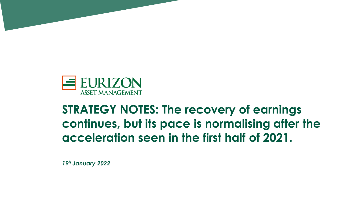

## **STRATEGY NOTES: The recovery of earnings continues, but its pace is normalising after the acceleration seen in the first half of 2021.**

*19<sup>h</sup> January 2022*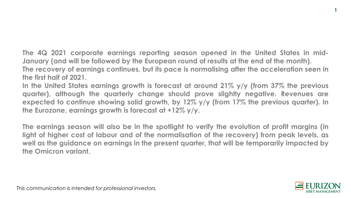**The 4Q 2021 corporate earnings reporting season opened in the United States in mid-January (and will be followed by the European round of results at the end of the month). The recovery of earnings continues, but its pace is normalising after the acceleration seen in the first half of 2021.**

**In the United States earnings growth is forecast at around 21% y/y (from 37% the previous quarter), although the quarterly change should prove slightly negative. Revenues are expected to continue showing solid growth, by 12% y/y (from 17% the previous quarter). In the Eurozone, earnings growth is forecast at +12% y/y.**

**The earnings season will also be in the spotlight to verify the evolution of profit margins (in light of higher cost of labour and of the normalisation of the recovery) from peak levels, as well as the guidance on earnings in the present quarter, that will be temporarily impacted by the Omicron variant.**



**1**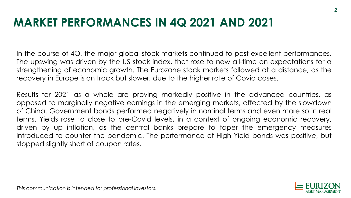#### **MARKET PERFORMANCES IN 4Q 2021 AND 2021**

In the course of 4Q, the major global stock markets continued to post excellent performances. The upswing was driven by the US stock index, that rose to new all-time on expectations for a strengthening of economic growth. The Eurozone stock markets followed at a distance, as the recovery in Europe is on track but slower, due to the higher rate of Covid cases.

Results for 2021 as a whole are proving markedly positive in the advanced countries, as opposed to marginally negative earnings in the emerging markets, affected by the slowdown of China. Government bonds performed negatively in nominal terms and even more so in real terms. Yields rose to close to pre-Covid levels, in a context of ongoing economic recovery, driven by up inflation, as the central banks prepare to taper the emergency measures introduced to counter the pandemic. The performance of High Yield bonds was positive, but stopped slightly short of coupon rates.

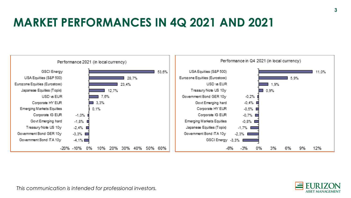# **MARKET PERFORMANCES IN 4Q 2021 AND 2021**



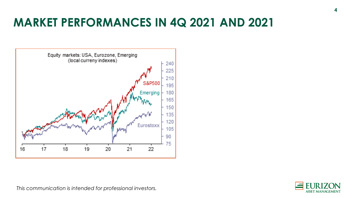### **MARKET PERFORMANCES IN 4Q 2021 AND 2021**



**ASSET MANA**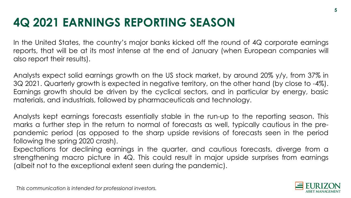# **4Q 2021 EARNINGS REPORTING SEASON**

In the United States, the country's major banks kicked off the round of 4Q corporate earnings reports, that will be at its most intense at the end of January (when European companies will also report their results).

Analysts expect solid earnings growth on the US stock market, by around 20% y/y, from 37% in 3Q 2021. Quarterly growth is expected in negative territory, on the other hand (by close to -4%). Earnings growth should be driven by the cyclical sectors, and in particular by energy, basic materials, and industrials, followed by pharmaceuticals and technology.

Analysts kept earnings forecasts essentially stable in the run-up to the reporting season. This marks a further step in the return to normal of forecasts as well, typically cautious in the prepandemic period (as opposed to the sharp upside revisions of forecasts seen in the period following the spring 2020 crash).

Expectations for declining earnings in the quarter, and cautious forecasts, diverge from a strengthening macro picture in 4Q. This could result in major upside surprises from earnings (albeit not to the exceptional extent seen during the pandemic).

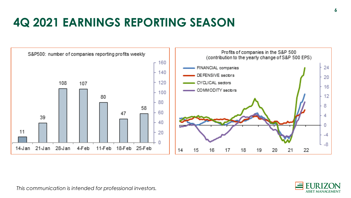# **4Q 2021 EARNINGS REPORTING SEASON**



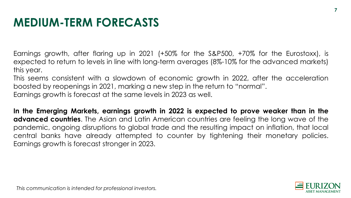### **MEDIUM-TERM FORECASTS**

Earnings growth, after flaring up in 2021 (+50% for the S&P500, +70% for the Eurostoxx), is expected to return to levels in line with long-term averages (8%-10% for the advanced markets) this year.

This seems consistent with a slowdown of economic growth in 2022, after the acceleration boosted by reopenings in 2021, marking a new step in the return to "normal". Earnings growth is forecast at the same levels in 2023 as well.

**In the Emerging Markets, earnings growth in 2022 is expected to prove weaker than in the advanced countries**. The Asian and Latin American countries are feeling the long wave of the pandemic, ongoing disruptions to global trade and the resulting impact on inflation, that local central banks have already attempted to counter by tightening their monetary policies. Earnings growth is forecast stronger in 2023.

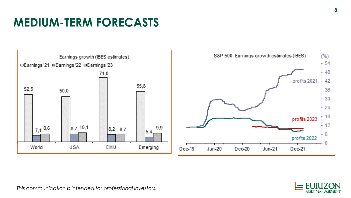# **MEDIUM-TERM FORECASTS**



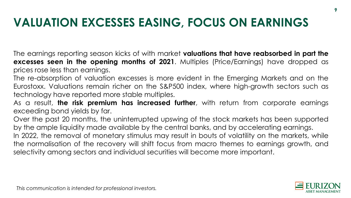#### **VALUATION EXCESSES EASING, FOCUS ON EARNINGS**

The earnings reporting season kicks of with market **valuations that have reabsorbed in part the excesses seen in the opening months of 2021**. Multiples (Price/Earnings) have dropped as prices rose less than earnings.

The re-absorption of valuation excesses is more evident in the Emerging Markets and on the Eurostoxx. Valuations remain richer on the S&P500 index, where high-growth sectors such as technology have reported more stable multiples.

As a result, **the risk premium has increased further**, with return from corporate earnings exceeding bond yields by far.

Over the past 20 months, the uninterrupted upswing of the stock markets has been supported by the ample liquidity made available by the central banks, and by accelerating earnings.

In 2022, the removal of monetary stimulus may result in bouts of volatility on the markets, while the normalisation of the recovery will shift focus from macro themes to earnings growth, and selectivity among sectors and individual securities will become more important.

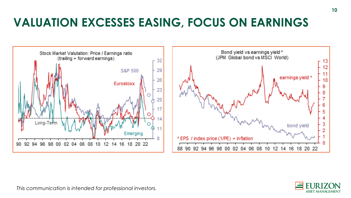### **VALUATION EXCESSES EASING, FOCUS ON EARNINGS**